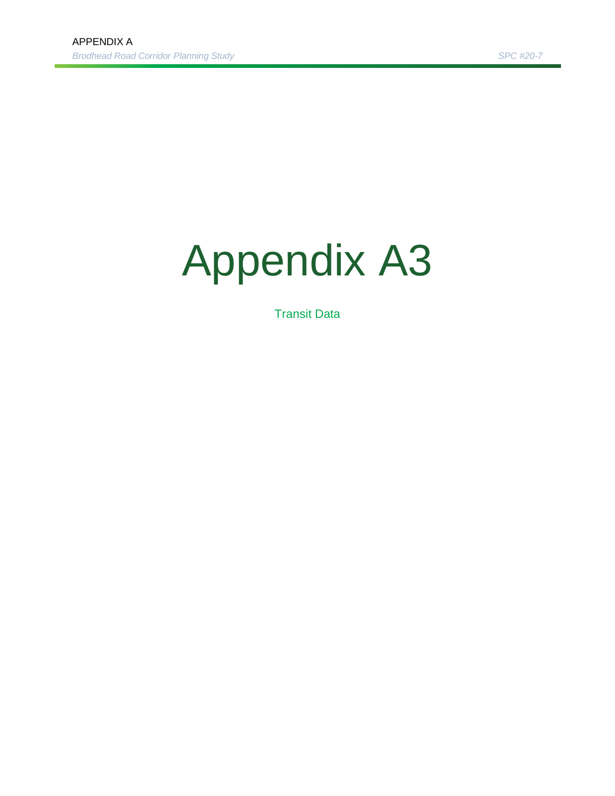# Appendix A3

Transit Data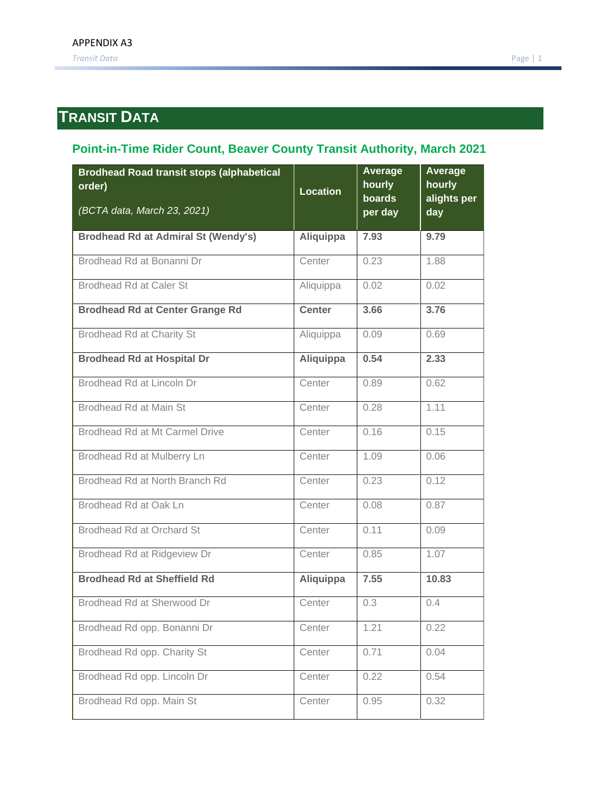## **TRANSIT DATA**

#### **Point-in-Time Rider Count, Beaver County Transit Authority, March 2021**

| <b>Brodhead Road transit stops (alphabetical</b><br>order)<br>(BCTA data, March 23, 2021) | <b>Location</b> | Average<br>hourly<br>boards<br>per day | Average<br>hourly<br>alights per<br>day |  |
|-------------------------------------------------------------------------------------------|-----------------|----------------------------------------|-----------------------------------------|--|
| <b>Brodhead Rd at Admiral St (Wendy's)</b>                                                | Aliquippa       | 7.93                                   | 9.79                                    |  |
| Brodhead Rd at Bonanni Dr                                                                 | Center          | 0.23                                   | 1.88                                    |  |
| <b>Brodhead Rd at Caler St</b>                                                            | Aliquippa       | 0.02                                   | 0.02                                    |  |
| <b>Brodhead Rd at Center Grange Rd</b>                                                    | <b>Center</b>   | 3.66                                   | 3.76                                    |  |
| <b>Brodhead Rd at Charity St</b>                                                          | Aliquippa       | 0.09                                   | 0.69                                    |  |
| <b>Brodhead Rd at Hospital Dr</b>                                                         | Aliquippa       | 0.54                                   | 2.33                                    |  |
| Brodhead Rd at Lincoln Dr                                                                 | Center          | 0.89                                   | 0.62                                    |  |
| <b>Brodhead Rd at Main St</b>                                                             | Center          | 0.28                                   | 1.11                                    |  |
| Brodhead Rd at Mt Carmel Drive                                                            | Center          | 0.16                                   | 0.15                                    |  |
| Brodhead Rd at Mulberry Ln                                                                | Center          | 1.09                                   | 0.06                                    |  |
| Brodhead Rd at North Branch Rd                                                            | Center          | 0.23                                   | 0.12                                    |  |
| Brodhead Rd at Oak Ln                                                                     | Center          | 0.08                                   | 0.87                                    |  |
| <b>Brodhead Rd at Orchard St</b>                                                          | Center          | 0.11                                   | 0.09                                    |  |
| Brodhead Rd at Ridgeview Dr                                                               | Center          | 0.85                                   | 1.07                                    |  |
| <b>Brodhead Rd at Sheffield Rd</b>                                                        | Aliquippa       | 7.55                                   | 10.83                                   |  |
| Brodhead Rd at Sherwood Dr                                                                | Center          | 0.3                                    | 0.4                                     |  |
| Brodhead Rd opp. Bonanni Dr                                                               | Center          | 1.21                                   | 0.22                                    |  |
| Brodhead Rd opp. Charity St                                                               | Center          | 0.71                                   | 0.04                                    |  |
| Brodhead Rd opp. Lincoln Dr                                                               | Center          | 0.22                                   | 0.54                                    |  |
| Brodhead Rd opp. Main St                                                                  | Center          | 0.95                                   | 0.32                                    |  |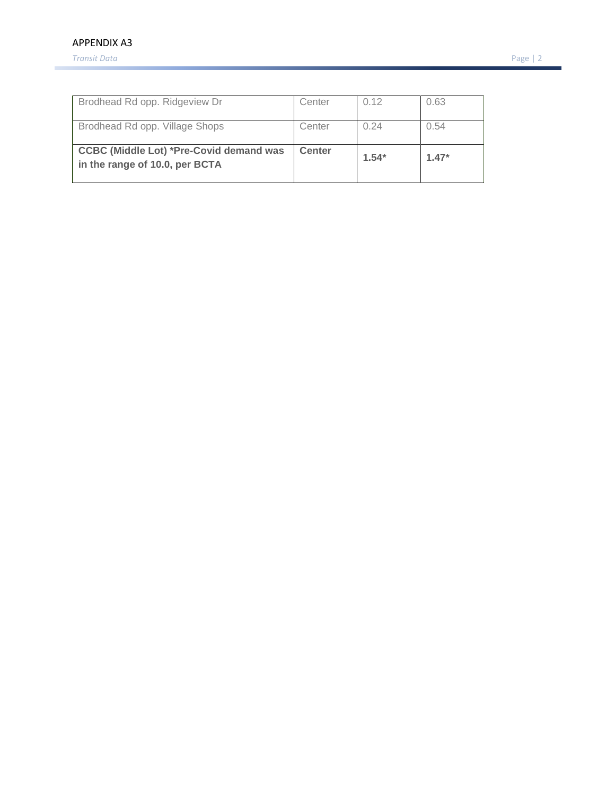#### APPENDIX A3

*Transit Data* Page | 2

| Brodhead Rd opp. Ridgeview Dr                                                    | Center        | 0.12    | 0.63    |
|----------------------------------------------------------------------------------|---------------|---------|---------|
| Brodhead Rd opp. Village Shops                                                   | Center        | 0.24    | 0.54    |
| <b>CCBC (Middle Lot) *Pre-Covid demand was</b><br>in the range of 10.0, per BCTA | <b>Center</b> | $1.54*$ | $1.47*$ |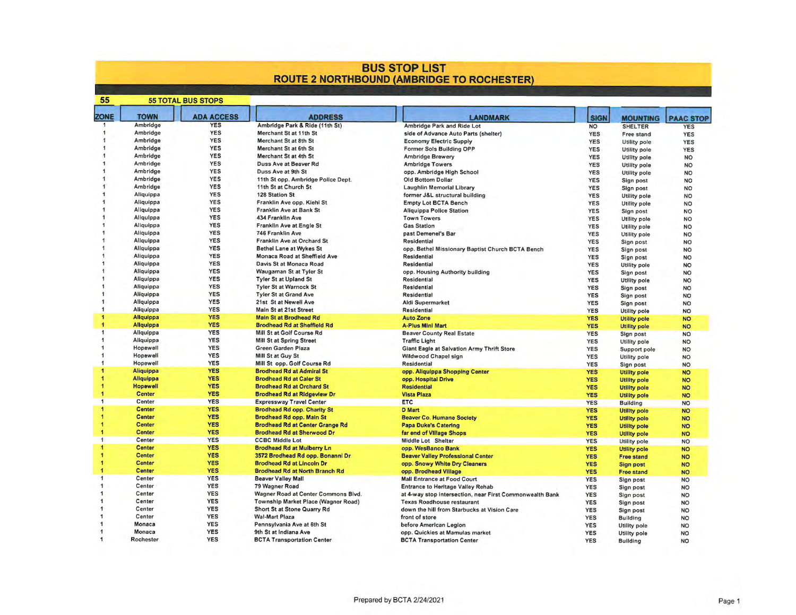# **BUS STOP LIST<br>ROUTE 2 NORTHBOUND (AMBRIDGE TO ROCHESTER)**

| 55                  | <b>55 TOTAL BUS STOPS</b> |                   |                                        |                                                          |             |                     |                  |
|---------------------|---------------------------|-------------------|----------------------------------------|----------------------------------------------------------|-------------|---------------------|------------------|
| <b>ZONE</b>         | <b>TOWN</b>               | <b>ADA ACCESS</b> | <b>ADDRESS</b>                         | <b>LANDMARK</b>                                          | <b>SIGN</b> | <b>MOUNTING</b>     | <b>PAAC STOP</b> |
|                     | Ambridge                  | <b>YES</b>        | Ambridge Park & Ride (11th St)         | Ambridge Park and Ride Lot                               | <b>NO</b>   | <b>SHELTER</b>      | <b>YES</b>       |
|                     | Ambridge                  | <b>YES</b>        | Merchant St at 11th St                 | side of Advance Auto Parts (shelter)                     | <b>YES</b>  | Free stand          | <b>YES</b>       |
|                     | Ambridge                  | <b>YES</b>        | Merchant St at 8th St                  | <b>Economy Electric Supply</b>                           | <b>YES</b>  | Utility pole        | <b>YES</b>       |
|                     | Ambridge                  | <b>YES</b>        | Merchant St at 6th St                  | Former Sols Building OPP                                 | <b>YES</b>  | Utility pole        | <b>YES</b>       |
|                     | Ambridge                  | <b>YES</b>        | Merchant St at 4th St                  | <b>Ambridge Brewery</b>                                  | <b>YES</b>  | Utility pole        | <b>NO</b>        |
|                     | Ambridge                  | <b>YES</b>        | Duss Ave at Beaver Rd                  | <b>Ambridge Towers</b>                                   | <b>YES</b>  | Utility pole        | <b>NO</b>        |
|                     | Ambridge                  | <b>YES</b>        | Duss Ave at 9th St                     | opp. Ambridge High School                                | YES         | Utility pole        | <b>NO</b>        |
|                     | Ambridge                  | <b>YES</b>        | 11th St opp. Ambridge Police Dept.     | Old Bottom Dollar                                        | <b>YES</b>  | Sign post           | <b>NO</b>        |
|                     | Ambridge                  | <b>YES</b>        | 11th St at Church St                   | Laughlin Memorial Library                                | <b>YES</b>  | Sign post           | <b>NO</b>        |
|                     | Aliquippa                 | <b>YES</b>        | 128 Station St                         | former J&L structural building                           | <b>YES</b>  | Utility pole        | <b>NO</b>        |
|                     | Aliquippa                 | <b>YES</b>        | Franklin Ave opp. Kiehl St             | <b>Empty Lot BCTA Bench</b>                              | <b>YES</b>  | Utility pole        | <b>NO</b>        |
|                     | Aliquippa                 | <b>YES</b>        | Franklin Ave at Bank St                | <b>Aliquippa Police Station</b>                          | <b>YES</b>  | Sign post           | <b>NO</b>        |
|                     | Aliquippa                 | <b>YES</b>        | 434 Franklin Ave                       | <b>Town Towers</b>                                       | <b>YES</b>  | Utility pole        | <b>NO</b>        |
|                     | Aliquippa                 | <b>YES</b>        | Franklin Ave at Engle St               | <b>Gas Station</b>                                       | <b>YES</b>  | Utility pole        | <b>NO</b>        |
|                     | Aliquippa                 | <b>YES</b>        | 746 Franklin Ave                       | past Demenel's Bar                                       | <b>YES</b>  |                     |                  |
|                     | Aliquippa                 | <b>YES</b>        | Franklin Ave at Orchard St             | Residential                                              | <b>YES</b>  | Utility pole        | <b>NO</b>        |
|                     | Aliquippa                 | <b>YES</b>        | <b>Bethel Lane at Wykes St</b>         |                                                          |             | Sign post           | <b>NO</b>        |
|                     | Aliquippa                 | <b>YES</b>        | Monaca Road at Sheffield Ave           | opp. Bethel Missionary Baptist Church BCTA Bench         | <b>YES</b>  | Sign post           | <b>NO</b>        |
|                     |                           | <b>YES</b>        |                                        | <b>Residential</b>                                       | <b>YES</b>  | Sign post           | <b>NO</b>        |
|                     | Aliquippa                 |                   | Davis St at Monaca Road                | <b>Residential</b>                                       | <b>YES</b>  | <b>Utility pole</b> | <b>NO</b>        |
|                     | Aliquippa                 | <b>YES</b>        | Waugaman St at Tyler St                | opp. Housing Authority building                          | <b>YES</b>  | Sign post           | <b>NO</b>        |
|                     | Aliquippa                 | <b>YES</b>        | <b>Tyler St at Upland St</b>           | <b>Residential</b>                                       | <b>YES</b>  | Utility pole        | <b>NO</b>        |
|                     | Aliquippa                 | <b>YES</b>        | <b>Tyler St at Warnock St</b>          | Residential                                              | <b>YES</b>  | Sign post           | <b>NO</b>        |
|                     | Aliquippa                 | <b>YES</b>        | <b>Tyler St at Grand Ave</b>           | <b>Residential</b>                                       | <b>YES</b>  | Sign post           | <b>NO</b>        |
|                     | Aliquippa                 | <b>YES</b>        | 21st St at Newell Ave                  | <b>Aldi Supermarket</b>                                  | <b>YES</b>  | Sign post           | <b>NO</b>        |
|                     | Aliquippa                 | <b>YES</b>        | Main St at 21st Street                 | <b>Residential</b>                                       | <b>YES</b>  | <b>Utility pole</b> | <b>NO</b>        |
|                     | Aliquippa                 | <b>YES</b>        | <b>Main St at Brodhead Rd</b>          | <b>Auto Zone</b>                                         | <b>YES</b>  | <b>Utility pole</b> | <b>NO</b>        |
|                     | Aliquippa                 | <b>YES</b>        | <b>Brodhead Rd at Sheffield Rd</b>     | <b>A-Plus Mini Mart</b>                                  | <b>YES</b>  | <b>Utility pole</b> | <b>NO</b>        |
|                     | Aliquippa                 | <b>YES</b>        | Mill St at Golf Course Rd              | <b>Beaver County Real Estate</b>                         | <b>YES</b>  | Sign post           | <b>NO</b>        |
|                     | Aliquippa                 | <b>YES</b>        | <b>Mill St at Spring Street</b>        | <b>Traffic Light</b>                                     | <b>YES</b>  | <b>Utility pole</b> | <b>NO</b>        |
|                     | Hopewell                  | <b>YES</b>        | Green Garden Plaza                     | Giant Eagle at Salvation Army Thrift Store               | <b>YES</b>  | Support pole        | <b>NO</b>        |
| $\mathbf{1}$        | Hopewell                  | <b>YES</b>        | Mill St at Guy St                      | Wildwood Chapel sign                                     | <b>YES</b>  | Utility pole        | <b>NO</b>        |
| 1                   | Hopewell                  | <b>YES</b>        | Mill St opp. Golf Course Rd            | <b>Residential</b>                                       | <b>YES</b>  | Sign post           | <b>NO</b>        |
| $\ddot{\mathbf{1}}$ | <b>Aliquippa</b>          | <b>YES</b>        | <b>Brodhead Rd at Admiral St</b>       | opp. Aliquippa Shopping Center                           | <b>YES</b>  | <b>Utility pole</b> | <b>NO</b>        |
| 1                   | Aliquippa                 | <b>YES</b>        | <b>Brodhead Rd at Caler St</b>         | opp. Hospital Drive                                      | <b>YES</b>  | <b>Utility pole</b> | <b>NO</b>        |
|                     | <b>Hopewell</b>           | <b>YES</b>        | <b>Brodhead Rd at Orchard St</b>       | <b>Residential</b>                                       | <b>YES</b>  | <b>Utility pole</b> | <b>NO</b>        |
|                     | <b>Center</b>             | <b>YES</b>        | <b>Brodhead Rd at Ridgeview Dr</b>     | <b>Vista Plaza</b>                                       | <b>YES</b>  | <b>Utility pole</b> | <b>NO</b>        |
| $\overline{1}$      | Center                    | <b>YES</b>        | <b>Expressway Travel Center</b>        | <b>ETC</b>                                               | <b>YES</b>  | <b>Building</b>     | <b>NO</b>        |
| ۹                   | <b>Center</b>             | <b>YES</b>        | <b>Brodhead Rd opp. Charity St</b>     | <b>D</b> Mart                                            | <b>YES</b>  | <b>Utility pole</b> | <b>NO</b>        |
|                     | <b>Center</b>             | <b>YES</b>        | Brodhead Rd opp. Main St               | <b>Beaver Co. Humane Society</b>                         | <b>YES</b>  | <b>Utility pole</b> | <b>NO</b>        |
|                     | <b>Center</b>             | <b>YES</b>        | <b>Brodhead Rd at Center Grange Rd</b> | <b>Papa Duke's Catering</b>                              | <b>YES</b>  | <b>Utility pole</b> | <b>NO</b>        |
| 1                   | <b>Center</b>             | <b>YES</b>        | <b>Brodhead Rd at Sherwood Dr</b>      | far end of Village Shops                                 | <b>YES</b>  |                     | <b>NO</b>        |
| 1                   | Center                    | <b>YES</b>        | <b>CCBC Middle Lot</b>                 | Middle Lot Shelter                                       | <b>YES</b>  | <b>Utility pole</b> | <b>NO</b>        |
|                     | <b>Center</b>             | <b>YES</b>        | <b>Brodhead Rd at Mulberry Ln</b>      | opp. WesBanco Bank                                       | <b>YES</b>  | <b>Utility pole</b> | <b>NO</b>        |
|                     | <b>Center</b>             | <b>YES</b>        | 3572 Brodhead Rd opp. Bonanni Dr       | <b>Beaver Valley Professional Center</b>                 | <b>YES</b>  | <b>Utility pole</b> |                  |
|                     | <b>Center</b>             | <b>YES</b>        | <b>Brodhead Rd at Lincoln Dr</b>       |                                                          |             | <b>Free stand</b>   | <b>NO</b>        |
|                     | <b>Center</b>             | <b>YES</b>        | <b>Brodhead Rd at North Branch Rd</b>  | opp. Snowy White Dry Cleaners                            | <b>YES</b>  | <b>Sign post</b>    | <b>NO</b>        |
|                     | Center                    | <b>YES</b>        |                                        | opp. Brodhead Village                                    | <b>YES</b>  | <b>Free stand</b>   | <b>NO</b>        |
|                     | Center                    | <b>YES</b>        | <b>Beaver Valley Mall</b>              | <b>Mall Entrance at Food Court</b>                       | <b>YES</b>  | Sign post           | <b>NO</b>        |
|                     |                           |                   | 79 Wagner Road                         | Entrance to Heritage Valley Rehab                        | <b>YES</b>  | Sign post           | <b>NO</b>        |
|                     | Center                    | <b>YES</b>        | Wagner Road at Center Commons Blvd.    | at 4-way stop intersection, near First Commonwealth Bank | <b>YES</b>  | Sign post           | <b>NO</b>        |
|                     | Center                    | <b>YES</b>        | Township Market Place (Wagner Road)    | <b>Texas Roadhouse restaurant</b>                        | <b>YES</b>  | Sign post           | <b>NO</b>        |
|                     | Center                    | <b>YES</b>        | Short St at Stone Quarry Rd            | down the hill from Starbucks at Vision Care              | <b>YES</b>  | Sign post           | <b>NO</b>        |
|                     | Center                    | <b>YES</b>        | <b>Wal-Mart Plaza</b>                  | front of store                                           | <b>YES</b>  | <b>Building</b>     | <b>NO</b>        |
|                     | Monaca                    | <b>YES</b>        | Pennsylvania Ave at 6th St             | before American Legion                                   | <b>YES</b>  | Utility pole        | <b>NO</b>        |
|                     | Monaca                    | <b>YES</b>        | 9th St at Indiana Ave                  | opp. Quickies at Mamulas market                          | <b>YES</b>  | Utility pole        | <b>NO</b>        |
|                     | Rochester                 | <b>YES</b>        | <b>BCTA Transportation Center</b>      | <b>BCTA Transportation Center</b>                        | <b>YES</b>  | <b>Building</b>     | <b>NO</b>        |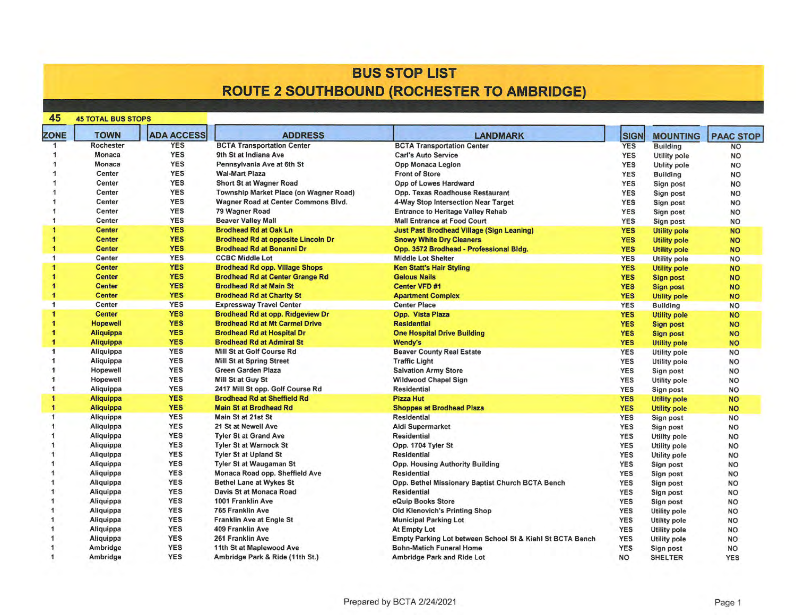### **BUS STOP LIST ROUTE 2 SOUTHBOUND (ROCHESTER TO AMBRIDGE)**

| 45                   | <b>45 TOTAL BUS STOPS</b> |                   |                                           |                                                           |             |                     |                  |
|----------------------|---------------------------|-------------------|-------------------------------------------|-----------------------------------------------------------|-------------|---------------------|------------------|
| <b>ZONE</b>          | <b>TOWN</b>               | <b>ADA ACCESS</b> | <b>ADDRESS</b>                            | <b>LANDMARK</b>                                           | <b>SIGN</b> | <b>MOUNTING</b>     | <b>PAAC STOP</b> |
|                      | <b>Rochester</b>          | <b>YES</b>        | <b>BCTA Transportation Center</b>         | <b>BCTA Transportation Center</b>                         | <b>YES</b>  | <b>Building</b>     | <b>NO</b>        |
|                      | Monaca                    | <b>YES</b>        | 9th St at Indiana Ave                     | <b>Carl's Auto Service</b>                                | <b>YES</b>  | <b>Utility pole</b> | <b>NO</b>        |
|                      | Monaca                    | <b>YES</b>        | Pennsylvania Ave at 6th St                | Opp Monaca Legion                                         | <b>YES</b>  | Utility pole        | <b>NO</b>        |
|                      | Center                    | <b>YES</b>        | <b>Wal-Mart Plaza</b>                     | <b>Front of Store</b>                                     | <b>YES</b>  | <b>Building</b>     | <b>NO</b>        |
|                      | Center                    | <b>YES</b>        | Short St at Wagner Road                   | Opp of Lowes Hardward                                     | <b>YES</b>  | Sign post           | <b>NO</b>        |
|                      | Center                    | <b>YES</b>        | Township Market Place (on Wagner Road)    | Opp. Texas Roadhouse Restaurant                           | <b>YES</b>  | Sign post           | <b>NO</b>        |
|                      | Center                    | <b>YES</b>        | Wagner Road at Center Commons Blvd.       | 4-Way Stop Intersection Near Target                       | <b>YES</b>  | Sign post           | <b>NO</b>        |
|                      | Center                    | <b>YES</b>        | 79 Wagner Road                            | <b>Entrance to Heritage Valley Rehab</b>                  | <b>YES</b>  | Sign post           | <b>NO</b>        |
|                      | Center                    | <b>YES</b>        | <b>Beaver Valley Mall</b>                 | <b>Mall Entrance at Food Court</b>                        | <b>YES</b>  | Sign post           | <b>NO</b>        |
|                      | <b>Center</b>             | <b>YES</b>        | <b>Brodhead Rd at Oak Ln</b>              | <b>Just Past Brodhead Village (Sign Leaning)</b>          | <b>YES</b>  | <b>Utility pole</b> | <b>NO</b>        |
|                      | <b>Center</b>             | <b>YES</b>        | <b>Brodhead Rd at opposite Lincoln Dr</b> | <b>Snowy White Dry Cleaners</b>                           | <b>YES</b>  | <b>Utility pole</b> | <b>NO</b>        |
|                      | <b>Center</b>             | <b>YES</b>        | <b>Brodhead Rd at Bonanni Dr.</b>         | Opp. 3572 Brodhead - Professional Bldg.                   | <b>YES</b>  | <b>Utility pole</b> | <b>NO</b>        |
|                      | Center                    | <b>YES</b>        | <b>CCBC Middle Lot</b>                    | <b>Middle Lot Shelter</b>                                 | <b>YES</b>  | <b>Utility pole</b> | <b>NO</b>        |
|                      | <b>Center</b>             | <b>YES</b>        | <b>Brodhead Rd opp. Village Shops</b>     | <b>Ken Statt's Hair Styling</b>                           | <b>YES</b>  | <b>Utility pole</b> | <b>NO</b>        |
|                      | <b>Center</b>             | <b>YES</b>        | <b>Brodhead Rd at Center Grange Rd</b>    | <b>Gelous Nails</b>                                       | <b>YES</b>  | <b>Sign post</b>    | <b>NO</b>        |
|                      | <b>Center</b>             | <b>YES</b>        | <b>Brodhead Rd at Main St</b>             | <b>Center VFD #1</b>                                      | <b>YES</b>  | Sign post           | <b>NO</b>        |
|                      | <b>Center</b>             | <b>YES</b>        | <b>Brodhead Rd at Charity St</b>          | <b>Apartment Complex</b>                                  | <b>YES</b>  | <b>Utility pole</b> | <b>NO</b>        |
| $\blacktriangleleft$ | Center                    | <b>YES</b>        | <b>Expressway Travel Center</b>           | <b>Center Place</b>                                       | <b>YES</b>  | <b>Building</b>     | <b>NO</b>        |
|                      | <b>Center</b>             | <b>YES</b>        | Brodhead Rd at opp. Ridgeview Dr          | Opp. Vista Plaza                                          | <b>YES</b>  | <b>Utility pole</b> | <b>NO</b>        |
|                      | <b>Hopewell</b>           | <b>YES</b>        | <b>Brodhead Rd at Mt Carmel Drive</b>     | <b>Residential</b>                                        | <b>YES</b>  |                     | <b>NO</b>        |
|                      | <b>Aliquippa</b>          | <b>YES</b>        | <b>Brodhead Rd at Hospital Dr</b>         | <b>One Hospital Drive Building</b>                        | <b>YES</b>  | <b>Sign post</b>    |                  |
|                      | <b>Aliquippa</b>          | <b>YES</b>        | <b>Brodhead Rd at Admiral St</b>          | Wendy's                                                   | <b>YES</b>  | <b>Sign post</b>    | <b>NO</b>        |
|                      | Aliquippa                 | <b>YES</b>        | Mill St at Golf Course Rd                 | <b>Beaver County Real Estate</b>                          | <b>YES</b>  | <b>Utility pole</b> | <b>NO</b>        |
|                      |                           | <b>YES</b>        | Mill St at Spring Street                  |                                                           |             | <b>Utility pole</b> | <b>NO</b>        |
|                      | Aliquippa                 | <b>YES</b>        | Green Garden Plaza                        | <b>Traffic Light</b>                                      | <b>YES</b>  | Utility pole        | <b>NO</b>        |
|                      | Hopewell                  |                   |                                           | <b>Salvation Army Store</b>                               | <b>YES</b>  | Sign post           | <b>NO</b>        |
|                      | Hopewell                  | <b>YES</b>        | Mill St at Guy St                         | <b>Wildwood Chapel Sign</b>                               | <b>YES</b>  | <b>Utility pole</b> | <b>NO</b>        |
| 1                    | Aliquippa                 | <b>YES</b>        | 2417 Mill St opp. Golf Course Rd          | <b>Residential</b>                                        | <b>YES</b>  | Sign post           | <b>NO</b>        |
| 1                    | <b>Aliquippa</b>          | <b>YES</b>        | <b>Brodhead Rd at Sheffield Rd</b>        | <b>Pizza Hut</b>                                          | <b>YES</b>  | <b>Utility pole</b> | <b>NO</b>        |
|                      | <b>Aliquippa</b>          | <b>YES</b>        | <b>Main St at Brodhead Rd</b>             | <b>Shoppes at Brodhead Plaza</b>                          | <b>YES</b>  | <b>Utility pole</b> | <b>NO</b>        |
| 1                    | Aliquippa                 | <b>YES</b>        | Main St at 21st St                        | <b>Residential</b>                                        | <b>YES</b>  | Sign post           | <b>NO</b>        |
|                      | Aliquippa                 | <b>YES</b>        | 21 St at Newell Ave                       | Aldi Supermarket                                          | <b>YES</b>  | Sign post           | <b>NO</b>        |
|                      | Aliquippa                 | <b>YES</b>        | <b>Tyler St at Grand Ave</b>              | <b>Residential</b>                                        | <b>YES</b>  | <b>Utility pole</b> | <b>NO</b>        |
|                      | Aliquippa                 | <b>YES</b>        | <b>Tyler St at Warnock St</b>             | Opp. 1704 Tyler St                                        | <b>YES</b>  | <b>Utility pole</b> | <b>NO</b>        |
|                      | Aliquippa                 | <b>YES</b>        | <b>Tyler St at Upland St</b>              | <b>Residential</b>                                        | <b>YES</b>  | Utility pole        | <b>NO</b>        |
|                      | Aliquippa                 | <b>YES</b>        | <b>Tyler St at Waugaman St</b>            | <b>Opp. Housing Authority Building</b>                    | <b>YES</b>  | Sign post           | <b>NO</b>        |
|                      | Aliquippa                 | <b>YES</b>        | Monaca Road opp. Sheffield Ave            | <b>Residential</b>                                        | <b>YES</b>  | Sign post           | <b>NO</b>        |
|                      | Aliquippa                 | <b>YES</b>        | <b>Bethel Lane at Wykes St</b>            | Opp. Bethel Missionary Baptist Church BCTA Bench          | <b>YES</b>  | Sign post           | <b>NO</b>        |
|                      | Aliquippa                 | <b>YES</b>        | Davis St at Monaca Road                   | <b>Residential</b>                                        | <b>YES</b>  | Sign post           | <b>NO</b>        |
|                      | Aliquippa                 | <b>YES</b>        | 1001 Franklin Ave                         | eQuip Books Store                                         | <b>YES</b>  | Sign post           | <b>NO</b>        |
|                      | Aliquippa                 | <b>YES</b>        | <b>765 Franklin Ave</b>                   | <b>Old Klenovich's Printing Shop</b>                      | <b>YES</b>  | <b>Utility pole</b> | <b>NO</b>        |
|                      | Aliquippa                 | <b>YES</b>        | <b>Franklin Ave at Engle St</b>           | <b>Municipal Parking Lot</b>                              | <b>YES</b>  | <b>Utility pole</b> | <b>NO</b>        |
|                      | Aliquippa                 | <b>YES</b>        | 409 Franklin Ave                          | At Empty Lot                                              | <b>YES</b>  | Utility pole        | <b>NO</b>        |
|                      | Aliquippa                 | <b>YES</b>        | 261 Franklin Ave                          | Empty Parking Lot between School St & Kiehl St BCTA Bench | <b>YES</b>  | Utility pole        | <b>NO</b>        |
|                      | Ambridge                  | <b>YES</b>        | 11th St at Maplewood Ave                  | <b>Bohn-Matich Funeral Home</b>                           | <b>YES</b>  | Sign post           | <b>NO</b>        |
|                      | Ambridge                  | <b>YES</b>        | Ambridge Park & Ride (11th St.)           | <b>Ambridge Park and Ride Lot</b>                         | NO          | <b>SHELTER</b>      | <b>YES</b>       |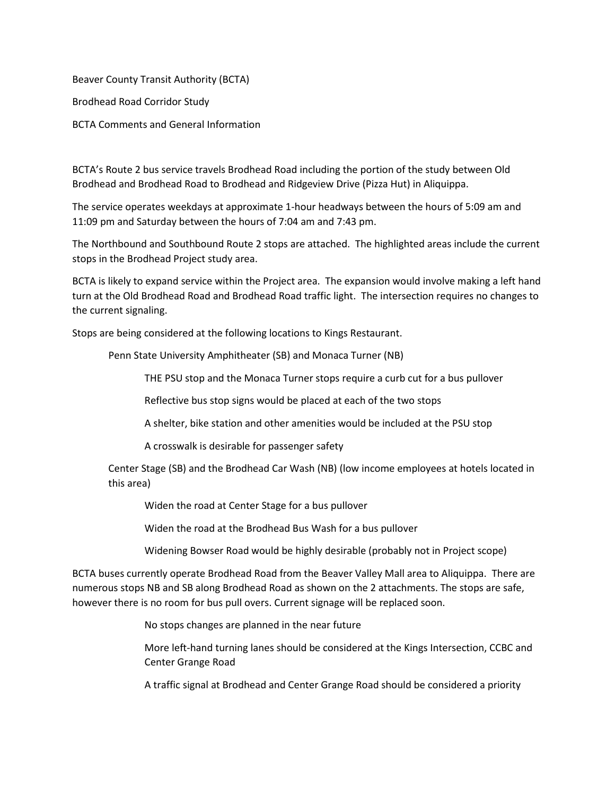Beaver County Transit Authority (BCTA) Brodhead Road Corridor Study BCTA Comments and General Information

BCTA's Route 2 bus service travels Brodhead Road including the portion of the study between Old Brodhead and Brodhead Road to Brodhead and Ridgeview Drive (Pizza Hut) in Aliquippa.

The service operates weekdays at approximate 1-hour headways between the hours of 5:09 am and 11:09 pm and Saturday between the hours of 7:04 am and 7:43 pm.

The Northbound and Southbound Route 2 stops are attached. The highlighted areas include the current stops in the Brodhead Project study area.

BCTA is likely to expand service within the Project area. The expansion would involve making a left hand turn at the Old Brodhead Road and Brodhead Road traffic light. The intersection requires no changes to the current signaling.

Stops are being considered at the following locations to Kings Restaurant.

Penn State University Amphitheater (SB) and Monaca Turner (NB)

THE PSU stop and the Monaca Turner stops require a curb cut for a bus pullover

Reflective bus stop signs would be placed at each of the two stops

A shelter, bike station and other amenities would be included at the PSU stop

A crosswalk is desirable for passenger safety

Center Stage (SB) and the Brodhead Car Wash (NB) (low income employees at hotels located in this area)

Widen the road at Center Stage for a bus pullover

Widen the road at the Brodhead Bus Wash for a bus pullover

Widening Bowser Road would be highly desirable (probably not in Project scope)

BCTA buses currently operate Brodhead Road from the Beaver Valley Mall area to Aliquippa. There are numerous stops NB and SB along Brodhead Road as shown on the 2 attachments. The stops are safe, however there is no room for bus pull overs. Current signage will be replaced soon.

No stops changes are planned in the near future

More left-hand turning lanes should be considered at the Kings Intersection, CCBC and Center Grange Road

A traffic signal at Brodhead and Center Grange Road should be considered a priority